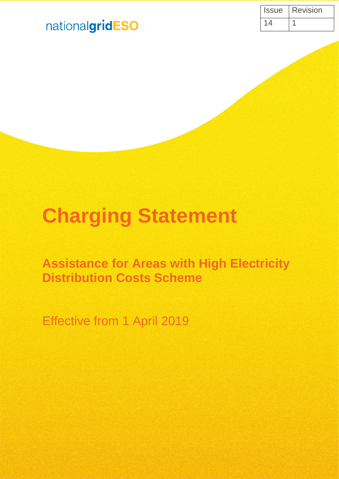| <b>Issue</b> | <b>Revision</b> |
|--------------|-----------------|
| 14           |                 |

# nationalgridESO

# **Charging Statement**

# **Assistance for Areas with High Electricity Distribution Costs Scheme**

Effective from 1 April 2019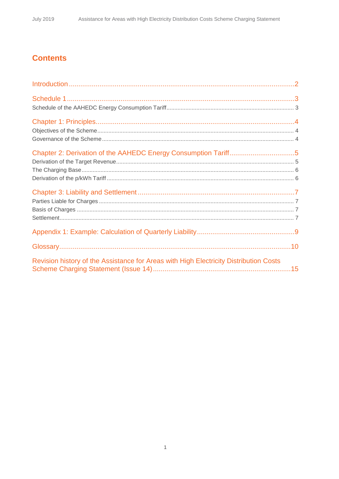# **Contents**

| Revision history of the Assistance for Areas with High Electricity Distribution Costs |  |
|---------------------------------------------------------------------------------------|--|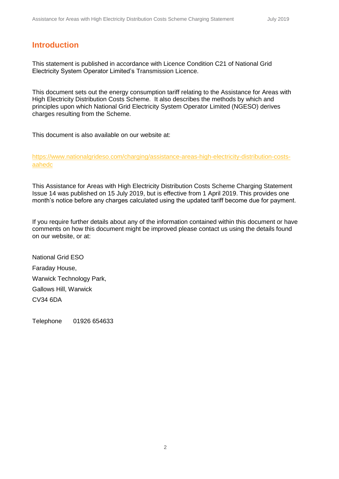### **Introduction**

This statement is published in accordance with Licence Condition C21 of National Grid Electricity System Operator Limited's Transmission Licence.

This document sets out the energy consumption tariff relating to the Assistance for Areas with High Electricity Distribution Costs Scheme. It also describes the methods by which and principles upon which National Grid Electricity System Operator Limited (NGESO) derives charges resulting from the Scheme.

This document is also available on our website at:

[https://www.nationalgrideso.com/charging/assistance-areas-high-electricity-distribution-costs](https://www.nationalgrideso.com/charging/assistance-areas-high-electricity-distribution-costs-aahedc)[aahedc](https://www.nationalgrideso.com/charging/assistance-areas-high-electricity-distribution-costs-aahedc)

This Assistance for Areas with High Electricity Distribution Costs Scheme Charging Statement Issue 14 was published on 15 July 2019, but is effective from 1 April 2019. This provides one month's notice before any charges calculated using the updated tariff become due for payment.

If you require further details about any of the information contained within this document or have comments on how this document might be improved please contact us using the details found on our website, or at:

National Grid ESO Faraday House, Warwick Technology Park, Gallows Hill, Warwick CV34 6DA

Telephone 01926 654633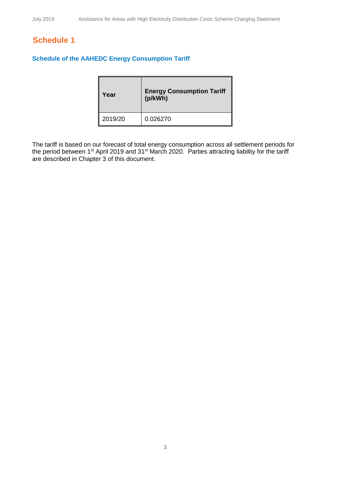## **Schedule 1**

#### **Schedule of the AAHEDC Energy Consumption Tariff**

| Year    | <b>Energy Consumption Tariff</b><br>(p/kWh) |
|---------|---------------------------------------------|
| 2019/20 | 0.026270                                    |

The tariff is based on our forecast of total energy consumption across all settlement periods for the period between 1<sup>st</sup> April 2019 and 31<sup>st</sup> March 2020. Parties attracting liability for the tariff are described in Chapter 3 of this document.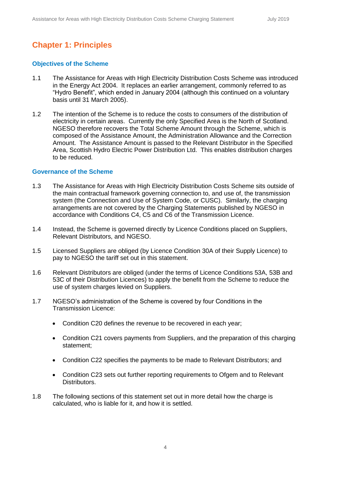# **Chapter 1: Principles**

#### **Objectives of the Scheme**

- 1.1 The Assistance for Areas with High Electricity Distribution Costs Scheme was introduced in the Energy Act 2004. It replaces an earlier arrangement, commonly referred to as "Hydro Benefit", which ended in January 2004 (although this continued on a voluntary basis until 31 March 2005).
- 1.2 The intention of the Scheme is to reduce the costs to consumers of the distribution of electricity in certain areas. Currently the only Specified Area is the North of Scotland. NGESO therefore recovers the Total Scheme Amount through the Scheme, which is composed of the Assistance Amount, the Administration Allowance and the Correction Amount. The Assistance Amount is passed to the Relevant Distributor in the Specified Area, Scottish Hydro Electric Power Distribution Ltd. This enables distribution charges to be reduced.

#### **Governance of the Scheme**

- 1.3 The Assistance for Areas with High Electricity Distribution Costs Scheme sits outside of the main contractual framework governing connection to, and use of, the transmission system (the Connection and Use of System Code, or CUSC). Similarly, the charging arrangements are not covered by the Charging Statements published by NGESO in accordance with Conditions C4, C5 and C6 of the Transmission Licence.
- 1.4 Instead, the Scheme is governed directly by Licence Conditions placed on Suppliers, Relevant Distributors, and NGESO.
- 1.5 Licensed Suppliers are obliged (by Licence Condition 30A of their Supply Licence) to pay to NGESO the tariff set out in this statement.
- 1.6 Relevant Distributors are obliged (under the terms of Licence Conditions 53A, 53B and 53C of their Distribution Licences) to apply the benefit from the Scheme to reduce the use of system charges levied on Suppliers.
- 1.7 NGESO's administration of the Scheme is covered by four Conditions in the Transmission Licence:
	- Condition C20 defines the revenue to be recovered in each year;
	- Condition C21 covers payments from Suppliers, and the preparation of this charging statement;
	- Condition C22 specifies the payments to be made to Relevant Distributors; and
	- Condition C23 sets out further reporting requirements to Ofgem and to Relevant Distributors.
- 1.8 The following sections of this statement set out in more detail how the charge is calculated, who is liable for it, and how it is settled.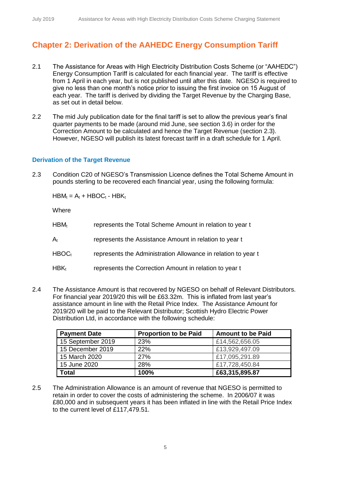# **Chapter 2: Derivation of the AAHEDC Energy Consumption Tariff**

- 2.1 The Assistance for Areas with High Electricity Distribution Costs Scheme (or "AAHEDC") Energy Consumption Tariff is calculated for each financial year. The tariff is effective from 1 April in each year, but is not published until after this date. NGESO is required to give no less than one month's notice prior to issuing the first invoice on 15 August of each year. The tariff is derived by dividing the Target Revenue by the Charging Base, as set out in detail below.
- 2.2 The mid July publication date for the final tariff is set to allow the previous year's final quarter payments to be made (around mid June, see section 3.6) in order for the Correction Amount to be calculated and hence the Target Revenue (section 2.3). However, NGESO will publish its latest forecast tariff in a draft schedule for 1 April.

#### **Derivation of the Target Revenue**

2.3 Condition C20 of NGESO's Transmission Licence defines the Total Scheme Amount in pounds sterling to be recovered each financial year, using the following formula:

 $HBM_t = A_t + HBOC_t - HBK_t$ 

**Where** 

| $HBM_t$           | represents the Total Scheme Amount in relation to year t      |
|-------------------|---------------------------------------------------------------|
| $A_{t}$           | represents the Assistance Amount in relation to year t        |
| HBOC <sub>t</sub> | represents the Administration Allowance in relation to year t |
| $HBK_t$           | represents the Correction Amount in relation to year t        |

2.4 The Assistance Amount is that recovered by NGESO on behalf of Relevant Distributors. For financial year 2019/20 this will be £63.32m. This is inflated from last year's assistance amount in line with the Retail Price Index. The Assistance Amount for 2019/20 will be paid to the Relevant Distributor; Scottish Hydro Electric Power Distribution Ltd, in accordance with the following schedule:

| <b>Payment Date</b> | <b>Proportion to be Paid</b> | <b>Amount to be Paid</b> |
|---------------------|------------------------------|--------------------------|
| 15 September 2019   | 23%                          | £14,562,656.05           |
| 15 December 2019    | 22%                          | £13,929,497.09           |
| 15 March 2020       | <b>27%</b>                   | £17,095,291.89           |
| 15 June 2020        | 28%                          | £17,728,450.84           |
| <b>Total</b>        | 100%                         | £63,315,895.87           |

2.5 The Administration Allowance is an amount of revenue that NGESO is permitted to retain in order to cover the costs of administering the scheme. In 2006/07 it was £80,000 and in subsequent years it has been inflated in line with the Retail Price Index to the current level of £117,479.51.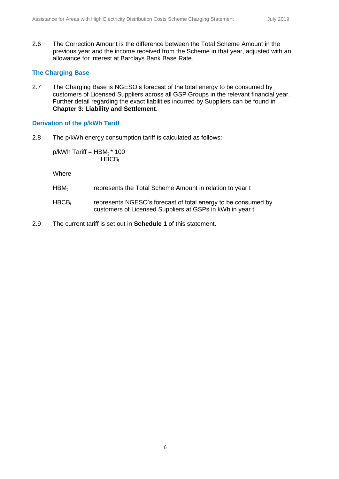2.6 The Correction Amount is the difference between the Total Scheme Amount in the previous year and the income received from the Scheme in that year, adjusted with an allowance for interest at Barclays Bank Base Rate.

#### **The Charging Base**

2.7 The Charging Base is NGESO's forecast of the total energy to be consumed by customers of Licensed Suppliers across all GSP Groups in the relevant financial year. Further detail regarding the exact liabilities incurred by Suppliers can be found in **Chapter 3: Liability and Settlement**.

#### **Derivation of the p/kWh Tariff**

2.8 The p/kWh energy consumption tariff is calculated as follows:

 $p/kWh$  Tariff = HBM<sub>t</sub>  $*$  100  $HBCB_t$ 

Where

- HBM<sub>t</sub> represents the Total Scheme Amount in relation to year t
- $HBCB<sub>t</sub>$  represents NGESO's forecast of total energy to be consumed by customers of Licensed Suppliers at GSPs in kWh in year t
- 2.9 The current tariff is set out in **Schedule 1** of this statement.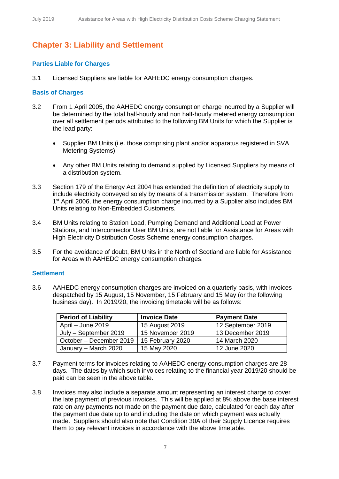# **Chapter 3: Liability and Settlement**

#### **Parties Liable for Charges**

3.1 Licensed Suppliers are liable for AAHEDC energy consumption charges.

#### **Basis of Charges**

- 3.2 From 1 April 2005, the AAHEDC energy consumption charge incurred by a Supplier will be determined by the total half-hourly and non half-hourly metered energy consumption over all settlement periods attributed to the following BM Units for which the Supplier is the lead party:
	- Supplier BM Units (i.e. those comprising plant and/or apparatus registered in SVA Metering Systems);
	- Any other BM Units relating to demand supplied by Licensed Suppliers by means of a distribution system.
- 3.3 Section 179 of the Energy Act 2004 has extended the definition of electricity supply to include electricity conveyed solely by means of a transmission system. Therefore from 1<sup>st</sup> April 2006, the energy consumption charge incurred by a Supplier also includes BM Units relating to Non-Embedded Customers.
- 3.4 BM Units relating to Station Load, Pumping Demand and Additional Load at Power Stations, and Interconnector User BM Units, are not liable for Assistance for Areas with High Electricity Distribution Costs Scheme energy consumption charges.
- 3.5 For the avoidance of doubt, BM Units in the North of Scotland are liable for Assistance for Areas with AAHEDC energy consumption charges.

#### **Settlement**

3.6 AAHEDC energy consumption charges are invoiced on a quarterly basis, with invoices despatched by 15 August, 15 November, 15 February and 15 May (or the following business day). In 2019/20, the invoicing timetable will be as follows:

| <b>Period of Liability</b>   | <b>Invoice Date</b> | <b>Payment Date</b> |
|------------------------------|---------------------|---------------------|
| $\sqrt{4}$ April – June 2019 | 15 August 2019      | 12 September 2019   |
| July - September 2019        | 15 November 2019    | 13 December 2019    |
| October - December 2019      | 15 February 2020    | 14 March 2020       |
| January – March 2020         | 15 May 2020         | 12 June 2020        |

- 3.7 Payment terms for invoices relating to AAHEDC energy consumption charges are 28 days. The dates by which such invoices relating to the financial year 2019/20 should be paid can be seen in the above table.
- 3.8 Invoices may also include a separate amount representing an interest charge to cover the late payment of previous invoices. This will be applied at 8% above the base interest rate on any payments not made on the payment due date, calculated for each day after the payment due date up to and including the date on which payment was actually made. Suppliers should also note that Condition 30A of their Supply Licence requires them to pay relevant invoices in accordance with the above timetable.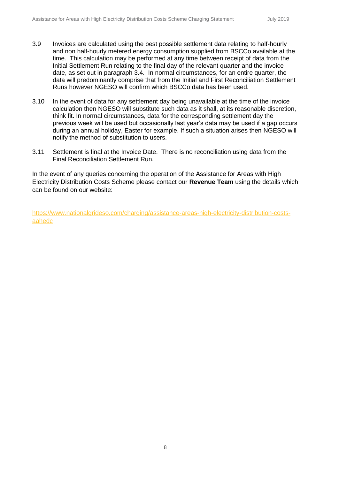- 3.9 Invoices are calculated using the best possible settlement data relating to half-hourly and non half-hourly metered energy consumption supplied from BSCCo available at the time. This calculation may be performed at any time between receipt of data from the Initial Settlement Run relating to the final day of the relevant quarter and the invoice date, as set out in paragraph 3.4. In normal circumstances, for an entire quarter, the data will predominantly comprise that from the Initial and First Reconciliation Settlement Runs however NGESO will confirm which BSCCo data has been used.
- 3.10 In the event of data for any settlement day being unavailable at the time of the invoice calculation then NGESO will substitute such data as it shall, at its reasonable discretion, think fit. In normal circumstances, data for the corresponding settlement day the previous week will be used but occasionally last year's data may be used if a gap occurs during an annual holiday, Easter for example. If such a situation arises then NGESO will notify the method of substitution to users.
- 3.11 Settlement is final at the Invoice Date. There is no reconciliation using data from the Final Reconciliation Settlement Run.

In the event of any queries concerning the operation of the Assistance for Areas with High Electricity Distribution Costs Scheme please contact our **Revenue Team** using the details which can be found on our website:

[https://www.nationalgrideso.com/charging/assistance-areas-high-electricity-distribution-costs](https://www.nationalgrideso.com/charging/assistance-areas-high-electricity-distribution-costs-aahedc)[aahedc](https://www.nationalgrideso.com/charging/assistance-areas-high-electricity-distribution-costs-aahedc)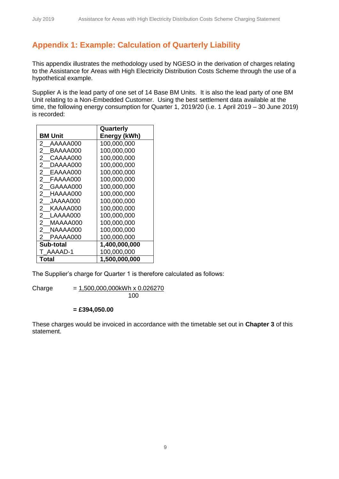## **Appendix 1: Example: Calculation of Quarterly Liability**

This appendix illustrates the methodology used by NGESO in the derivation of charges relating to the Assistance for Areas with High Electricity Distribution Costs Scheme through the use of a hypothetical example.

Supplier A is the lead party of one set of 14 Base BM Units. It is also the lead party of one BM Unit relating to a Non-Embedded Customer. Using the best settlement data available at the time, the following energy consumption for Quarter 1, 2019/20 (i.e. 1 April 2019 – 30 June 2019) is recorded:

|                            | Quarterly     |
|----------------------------|---------------|
| <b>BM Unit</b>             | Energy (kWh)  |
| 2<br>AAAAA000              | 100,000,000   |
| 2<br>BAAAA000              | 100,000,000   |
| 2<br>CAAAA000              | 100,000,000   |
| 2<br>DAAAA000              | 100,000,000   |
| EAAAA000<br>2              | 100,000,000   |
| FAAAA000<br>2              | 100,000,000   |
| 2.<br>GAAAA000             | 100,000,000   |
| 2 HAAAA000                 | 100,000,000   |
| $\mathbf{2}$<br>JAAAA000   | 100,000,000   |
| 2 KAAAA000                 | 100,000,000   |
| $^{2}$<br>LAAAA000         | 100,000,000   |
| $\overline{2}$<br>MAAAA000 | 100,000,000   |
| 2<br>NAAAA000              | 100,000,000   |
| 2<br>PAAAA000              | 100,000,000   |
| Sub-total                  | 1,400,000,000 |
| AAAAD-1                    | 100,000,000   |
| <b>Total</b>               | 1,500,000,000 |

The Supplier's charge for Quarter 1 is therefore calculated as follows:

Charge  $= 1,500,000,000kWh \times 0.026270$ 100

#### **= £394,050.00**

These charges would be invoiced in accordance with the timetable set out in **Chapter 3** of this statement.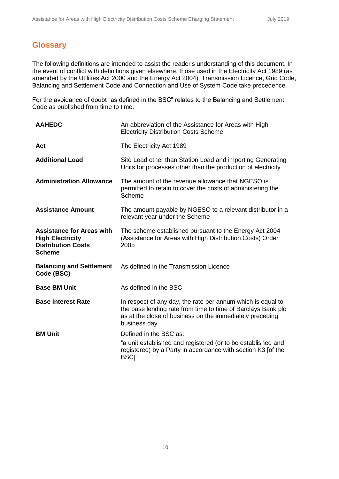## **Glossary**

The following definitions are intended to assist the reader's understanding of this document. In the event of conflict with definitions given elsewhere, those used in the Electricity Act 1989 (as amended by the Utilities Act 2000 and the Energy Act 2004), Transmission Licence, Grid Code, Balancing and Settlement Code and Connection and Use of System Code take precedence.

For the avoidance of doubt "as defined in the BSC" relates to the Balancing and Settlement Code as published from time to time.

| <b>AAHEDC</b>                                                                                             | An abbreviation of the Assistance for Areas with High<br><b>Electricity Distribution Costs Scheme</b>                                                                                                   |
|-----------------------------------------------------------------------------------------------------------|---------------------------------------------------------------------------------------------------------------------------------------------------------------------------------------------------------|
| Act                                                                                                       | The Electricity Act 1989                                                                                                                                                                                |
| <b>Additional Load</b>                                                                                    | Site Load other than Station Load and importing Generating<br>Units for processes other than the production of electricity                                                                              |
| <b>Administration Allowance</b>                                                                           | The amount of the revenue allowance that NGESO is<br>permitted to retain to cover the costs of administering the<br>Scheme                                                                              |
| <b>Assistance Amount</b>                                                                                  | The amount payable by NGESO to a relevant distributor in a<br>relevant year under the Scheme                                                                                                            |
| <b>Assistance for Areas with</b><br><b>High Electricity</b><br><b>Distribution Costs</b><br><b>Scheme</b> | The scheme established pursuant to the Energy Act 2004<br>(Assistance for Areas with High Distribution Costs) Order<br>2005                                                                             |
| <b>Balancing and Settlement</b><br>Code (BSC)                                                             | As defined in the Transmission Licence                                                                                                                                                                  |
| <b>Base BM Unit</b>                                                                                       | As defined in the BSC                                                                                                                                                                                   |
| <b>Base Interest Rate</b>                                                                                 | In respect of any day, the rate per annum which is equal to<br>the base lending rate from time to time of Barclays Bank plc<br>as at the close of business on the immediately preceding<br>business day |
| <b>BM Unit</b>                                                                                            | Defined in the BSC as:<br>"a unit established and registered (or to be established and<br>registered) by a Party in accordance with section K3 [of the<br>BSC <sub>l</sub> "                            |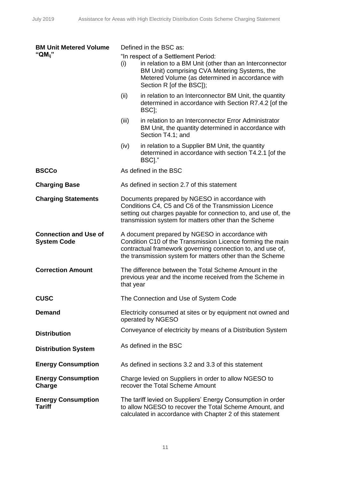| <b>BM Unit Metered Volume</b>                      | Defined in the BSC as: |                                                                                                                                                                                                                                          |
|----------------------------------------------------|------------------------|------------------------------------------------------------------------------------------------------------------------------------------------------------------------------------------------------------------------------------------|
| " $QM_{ii}$ "                                      | (i)                    | "In respect of a Settlement Period:<br>in relation to a BM Unit (other than an Interconnector<br>BM Unit) comprising CVA Metering Systems, the<br>Metered Volume (as determined in accordance with<br>Section R [of the BSC]);           |
|                                                    | (ii)                   | in relation to an Interconnector BM Unit, the quantity<br>determined in accordance with Section R7.4.2 [of the<br>BSC];                                                                                                                  |
|                                                    | (iii)                  | in relation to an Interconnector Error Administrator<br>BM Unit, the quantity determined in accordance with<br>Section T4.1; and                                                                                                         |
|                                                    | (iv)                   | in relation to a Supplier BM Unit, the quantity<br>determined in accordance with section T4.2.1 [of the<br>BSCI."                                                                                                                        |
| <b>BSCCo</b>                                       |                        | As defined in the BSC                                                                                                                                                                                                                    |
| <b>Charging Base</b>                               |                        | As defined in section 2.7 of this statement                                                                                                                                                                                              |
| <b>Charging Statements</b>                         |                        | Documents prepared by NGESO in accordance with<br>Conditions C4, C5 and C6 of the Transmission Licence<br>setting out charges payable for connection to, and use of, the<br>transmission system for matters other than the Scheme        |
| <b>Connection and Use of</b><br><b>System Code</b> |                        | A document prepared by NGESO in accordance with<br>Condition C10 of the Transmission Licence forming the main<br>contractual framework governing connection to, and use of,<br>the transmission system for matters other than the Scheme |
| <b>Correction Amount</b>                           | that year              | The difference between the Total Scheme Amount in the<br>previous year and the income received from the Scheme in                                                                                                                        |
| <b>CUSC</b>                                        |                        | The Connection and Use of System Code                                                                                                                                                                                                    |
| <b>Demand</b>                                      |                        | Electricity consumed at sites or by equipment not owned and<br>operated by NGESO                                                                                                                                                         |
| <b>Distribution</b>                                |                        | Conveyance of electricity by means of a Distribution System                                                                                                                                                                              |
| <b>Distribution System</b>                         |                        | As defined in the BSC                                                                                                                                                                                                                    |
| <b>Energy Consumption</b>                          |                        | As defined in sections 3.2 and 3.3 of this statement                                                                                                                                                                                     |
| <b>Energy Consumption</b><br>Charge                |                        | Charge levied on Suppliers in order to allow NGESO to<br>recover the Total Scheme Amount                                                                                                                                                 |
| <b>Energy Consumption</b><br><b>Tariff</b>         |                        | The tariff levied on Suppliers' Energy Consumption in order<br>to allow NGESO to recover the Total Scheme Amount, and<br>calculated in accordance with Chapter 2 of this statement                                                       |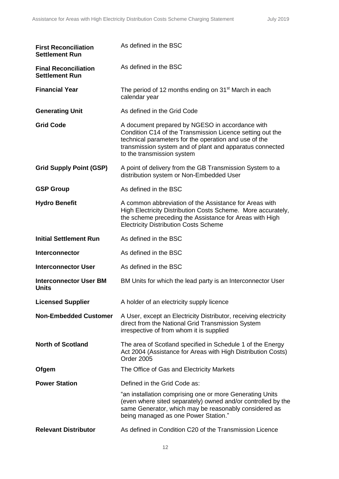| <b>First Reconciliation</b><br><b>Settlement Run</b> | As defined in the BSC                                                                                                                                                                                                                                           |
|------------------------------------------------------|-----------------------------------------------------------------------------------------------------------------------------------------------------------------------------------------------------------------------------------------------------------------|
| <b>Final Reconciliation</b><br><b>Settlement Run</b> | As defined in the BSC                                                                                                                                                                                                                                           |
| <b>Financial Year</b>                                | The period of 12 months ending on 31 <sup>st</sup> March in each<br>calendar year                                                                                                                                                                               |
| <b>Generating Unit</b>                               | As defined in the Grid Code                                                                                                                                                                                                                                     |
| <b>Grid Code</b>                                     | A document prepared by NGESO in accordance with<br>Condition C14 of the Transmission Licence setting out the<br>technical parameters for the operation and use of the<br>transmission system and of plant and apparatus connected<br>to the transmission system |
| <b>Grid Supply Point (GSP)</b>                       | A point of delivery from the GB Transmission System to a<br>distribution system or Non-Embedded User                                                                                                                                                            |
| <b>GSP Group</b>                                     | As defined in the BSC                                                                                                                                                                                                                                           |
| <b>Hydro Benefit</b>                                 | A common abbreviation of the Assistance for Areas with<br>High Electricity Distribution Costs Scheme. More accurately,<br>the scheme preceding the Assistance for Areas with High<br><b>Electricity Distribution Costs Scheme</b>                               |
| <b>Initial Settlement Run</b>                        | As defined in the BSC                                                                                                                                                                                                                                           |
| <b>Interconnector</b>                                | As defined in the BSC                                                                                                                                                                                                                                           |
| <b>Interconnector User</b>                           | As defined in the BSC                                                                                                                                                                                                                                           |
| <b>Interconnector User BM</b><br>Units               | BM Units for which the lead party is an Interconnector User                                                                                                                                                                                                     |
| <b>Licensed Supplier</b>                             | A holder of an electricity supply licence                                                                                                                                                                                                                       |
| <b>Non-Embedded Customer</b>                         | A User, except an Electricity Distributor, receiving electricity<br>direct from the National Grid Transmission System<br>irrespective of from whom it is supplied                                                                                               |
| <b>North of Scotland</b>                             | The area of Scotland specified in Schedule 1 of the Energy<br>Act 2004 (Assistance for Areas with High Distribution Costs)<br>Order 2005                                                                                                                        |
| Ofgem                                                | The Office of Gas and Electricity Markets                                                                                                                                                                                                                       |
| <b>Power Station</b>                                 | Defined in the Grid Code as:                                                                                                                                                                                                                                    |
|                                                      | "an installation comprising one or more Generating Units<br>(even where sited separately) owned and/or controlled by the<br>same Generator, which may be reasonably considered as<br>being managed as one Power Station."                                       |
| <b>Relevant Distributor</b>                          | As defined in Condition C20 of the Transmission Licence                                                                                                                                                                                                         |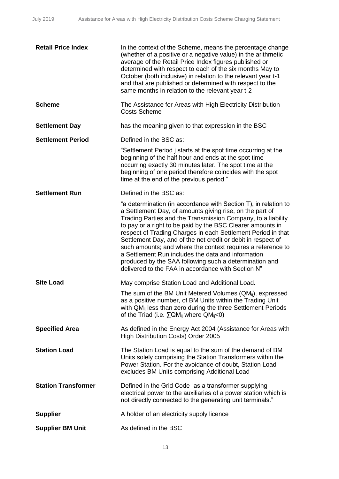| <b>Retail Price Index</b>  | In the context of the Scheme, means the percentage change<br>(whether of a positive or a negative value) in the arithmetic<br>average of the Retail Price Index figures published or<br>determined with respect to each of the six months May to<br>October (both inclusive) in relation to the relevant year t-1<br>and that are published or determined with respect to the<br>same months in relation to the relevant year t-2                                                                                                                                                                                              |
|----------------------------|--------------------------------------------------------------------------------------------------------------------------------------------------------------------------------------------------------------------------------------------------------------------------------------------------------------------------------------------------------------------------------------------------------------------------------------------------------------------------------------------------------------------------------------------------------------------------------------------------------------------------------|
| <b>Scheme</b>              | The Assistance for Areas with High Electricity Distribution<br><b>Costs Scheme</b>                                                                                                                                                                                                                                                                                                                                                                                                                                                                                                                                             |
| <b>Settlement Day</b>      | has the meaning given to that expression in the BSC                                                                                                                                                                                                                                                                                                                                                                                                                                                                                                                                                                            |
| <b>Settlement Period</b>   | Defined in the BSC as:                                                                                                                                                                                                                                                                                                                                                                                                                                                                                                                                                                                                         |
|                            | "Settlement Period j starts at the spot time occurring at the<br>beginning of the half hour and ends at the spot time<br>occurring exactly 30 minutes later. The spot time at the<br>beginning of one period therefore coincides with the spot<br>time at the end of the previous period."                                                                                                                                                                                                                                                                                                                                     |
| <b>Settlement Run</b>      | Defined in the BSC as:                                                                                                                                                                                                                                                                                                                                                                                                                                                                                                                                                                                                         |
|                            | "a determination (in accordance with Section T), in relation to<br>a Settlement Day, of amounts giving rise, on the part of<br>Trading Parties and the Transmission Company, to a liability<br>to pay or a right to be paid by the BSC Clearer amounts in<br>respect of Trading Charges in each Settlement Period in that<br>Settlement Day, and of the net credit or debit in respect of<br>such amounts; and where the context requires a reference to<br>a Settlement Run includes the data and information<br>produced by the SAA following such a determination and<br>delivered to the FAA in accordance with Section N" |
| <b>Site Load</b>           | May comprise Station Load and Additional Load.                                                                                                                                                                                                                                                                                                                                                                                                                                                                                                                                                                                 |
|                            | The sum of the BM Unit Metered Volumes $(QM_{ii})$ , expressed<br>as a positive number, of BM Units within the Trading Unit<br>with QM <sub>ii</sub> less than zero during the three Settlement Periods<br>of the Triad (i.e. $\Sigma QM_{ij}$ where $QM_{ij}$ <0)                                                                                                                                                                                                                                                                                                                                                             |
| <b>Specified Area</b>      | As defined in the Energy Act 2004 (Assistance for Areas with<br>High Distribution Costs) Order 2005                                                                                                                                                                                                                                                                                                                                                                                                                                                                                                                            |
| <b>Station Load</b>        | The Station Load is equal to the sum of the demand of BM<br>Units solely comprising the Station Transformers within the<br>Power Station. For the avoidance of doubt, Station Load<br>excludes BM Units comprising Additional Load                                                                                                                                                                                                                                                                                                                                                                                             |
| <b>Station Transformer</b> | Defined in the Grid Code "as a transformer supplying<br>electrical power to the auxiliaries of a power station which is<br>not directly connected to the generating unit terminals."                                                                                                                                                                                                                                                                                                                                                                                                                                           |
| <b>Supplier</b>            | A holder of an electricity supply licence                                                                                                                                                                                                                                                                                                                                                                                                                                                                                                                                                                                      |
| <b>Supplier BM Unit</b>    | As defined in the BSC                                                                                                                                                                                                                                                                                                                                                                                                                                                                                                                                                                                                          |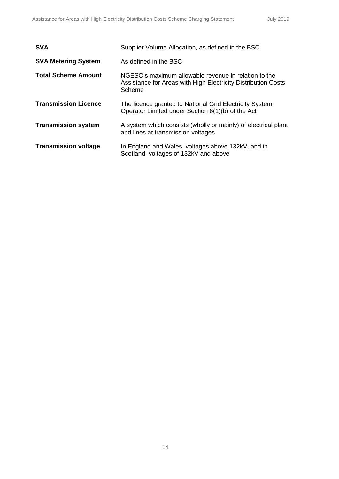| <b>SVA</b>                  | Supplier Volume Allocation, as defined in the BSC                                                                               |
|-----------------------------|---------------------------------------------------------------------------------------------------------------------------------|
| <b>SVA Metering System</b>  | As defined in the BSC                                                                                                           |
| <b>Total Scheme Amount</b>  | NGESO's maximum allowable revenue in relation to the<br>Assistance for Areas with High Electricity Distribution Costs<br>Scheme |
| <b>Transmission Licence</b> | The licence granted to National Grid Electricity System<br>Operator Limited under Section 6(1)(b) of the Act                    |
| <b>Transmission system</b>  | A system which consists (wholly or mainly) of electrical plant<br>and lines at transmission voltages                            |
| <b>Transmission voltage</b> | In England and Wales, voltages above 132kV, and in<br>Scotland, voltages of 132kV and above                                     |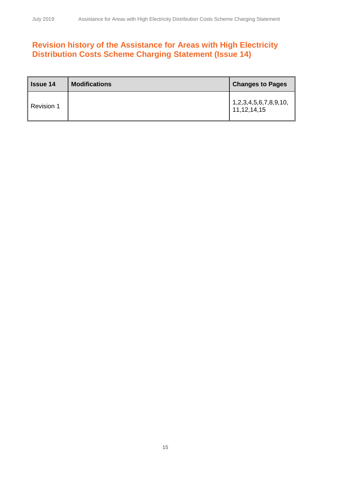# **Revision history of the Assistance for Areas with High Electricity Distribution Costs Scheme Charging Statement (Issue 14)**

| <b>Issue 14</b>   | <b>Modifications</b> | <b>Changes to Pages</b>                          |
|-------------------|----------------------|--------------------------------------------------|
| <b>Revision 1</b> |                      | 1, 2, 3, 4, 5, 6, 7, 8, 9, 10,<br>11, 12, 14, 15 |